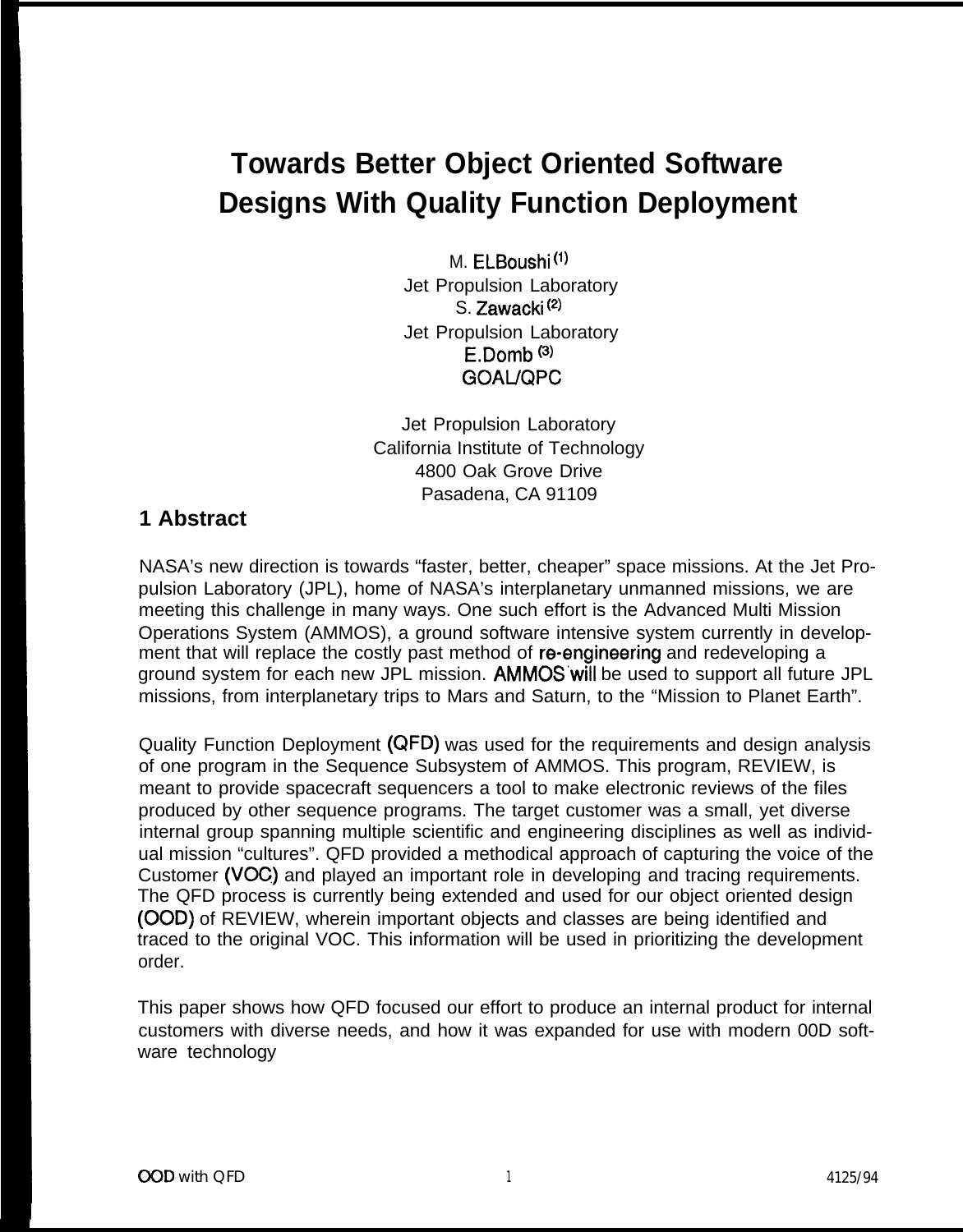# **Towards Better Object Oriented Software Designs With Quality Function Deployment**

M. ELBoushi<sup>(1)</sup> Jet Propulsion Laboratory S. Zawacki (2) Jet Propulsion Laboratory  $E.Domb<sup>(3)</sup>$ GOAUQPC

Jet Propulsion Laboratory California Institute of Technology 4800 Oak Grove Drive Pasadena, CA 91109

## **1 Abstract**

NASA's new direction is towards "faster, better, cheaper" space missions. At the Jet Propulsion Laboratory (JPL), home of NASA's interplanetary unmanned missions, we are meeting this challenge in many ways. One such effort is the Advanced Multi Mission Operations System (AMMOS), a ground software intensive system currently in development that will replace the costly past method of re-engineering and redeveloping a ground system for each new JPL mission. AMMOS'will be used to support all future JPL missions, from interplanetary trips to Mars and Saturn, to the "Mission to Planet Earth".

Quality Function Deployment (QFD) was used for the requirements and design analysis of one program in the Sequence Subsystem of AMMOS. This program, REVIEW, is meant to provide spacecraft sequencers a tool to make electronic reviews of the files produced by other sequence programs. The target customer was a small, yet diverse internal group spanning multiple scientific and engineering disciplines as well as individual mission "cultures". QFD provided a methodical approach of capturing the voice of the Customer (VOC) and played an important role in developing and tracing requirements. The QFD process is currently being extended and used for our object oriented design (OOD) of REVIEW, wherein important objects and classes are being identified and traced to the original VOC. This information will be used in prioritizing the development order.

This paper shows how QFD focused our effort to produce an internal product for internal customers with diverse needs, and how it was expanded for use with modern 00D software technology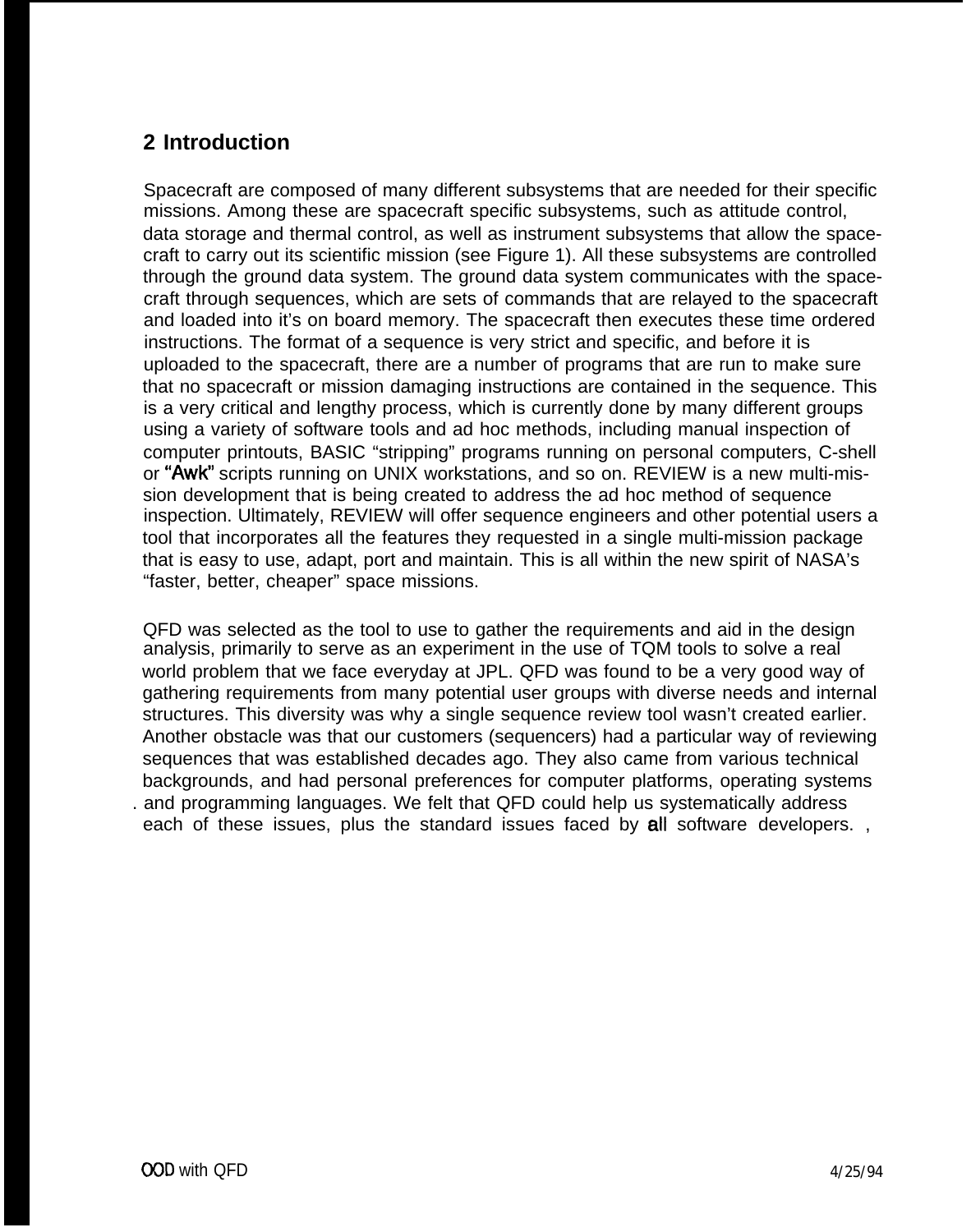# **2 Introduction**

Spacecraft are composed of many different subsystems that are needed for their specific missions. Among these are spacecraft specific subsystems, such as attitude control, data storage and thermal control, as well as instrument subsystems that allow the spacecraft to carry out its scientific mission (see Figure 1). All these subsystems are controlled through the ground data system. The ground data system communicates with the spacecraft through sequences, which are sets of commands that are relayed to the spacecraft and loaded into it's on board memory. The spacecraft then executes these time ordered instructions. The format of a sequence is very strict and specific, and before it is uploaded to the spacecraft, there are a number of programs that are run to make sure that no spacecraft or mission damaging instructions are contained in the sequence. This is a very critical and lengthy process, which is currently done by many different groups using a variety of software tools and ad hoc methods, including manual inspection of computer printouts, BASIC "stripping" programs running on personal computers, C-shell or "Awk" scripts running on UNIX workstations, and so on. REVIEW is a new multi-mission development that is being created to address the ad hoc method of sequence inspection. Ultimately, REVIEW will offer sequence engineers and other potential users a tool that incorporates all the features they requested in a single multi-mission package that is easy to use, adapt, port and maintain. This is all within the new spirit of NASA's "faster, better, cheaper" space missions.

QFD was selected as the tool to use to gather the requirements and aid in the design analysis, primarily to serve as an experiment in the use of TQM tools to solve a real world problem that we face everyday at JPL. QFD was found to be a very good way of gathering requirements from many potential user groups with diverse needs and internal structures. This diversity was why a single sequence review tool wasn't created earlier. Another obstacle was that our customers (sequencers) had a particular way of reviewing sequences that was established decades ago. They also came from various technical backgrounds, and had personal preferences for computer platforms, operating systems . and programming languages. We felt that QFD could help us systematically address each of these issues, plus the standard issues faced by all software developers.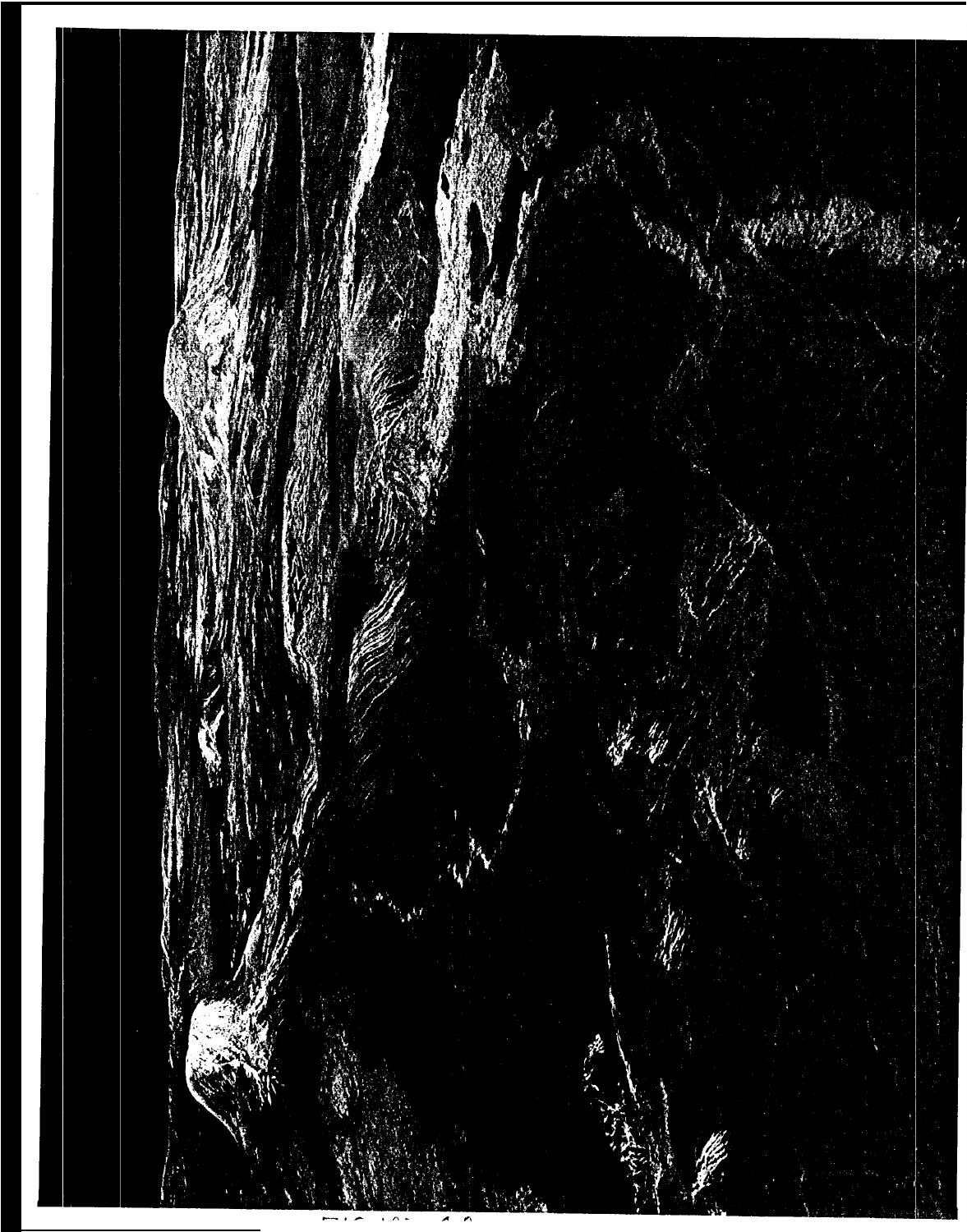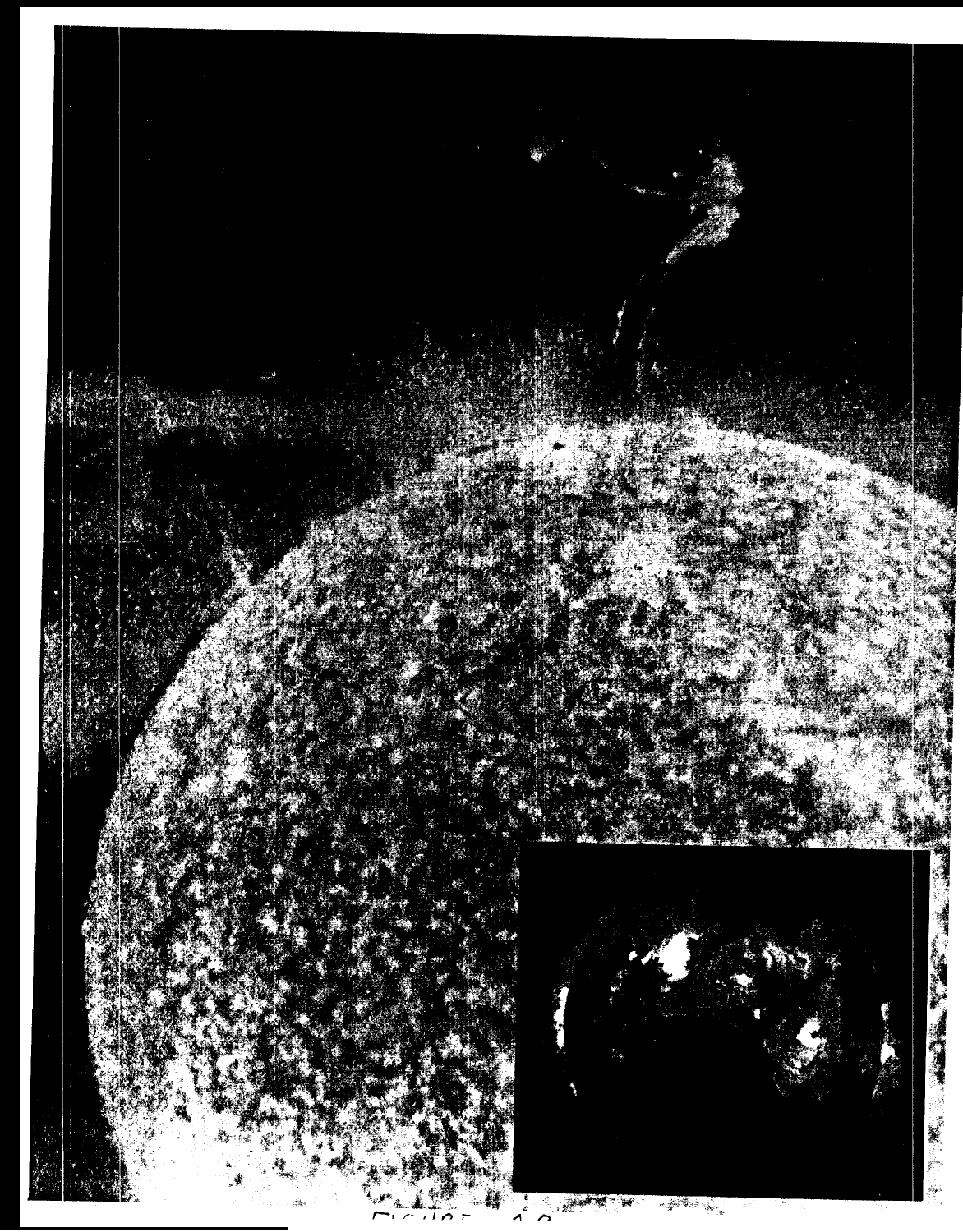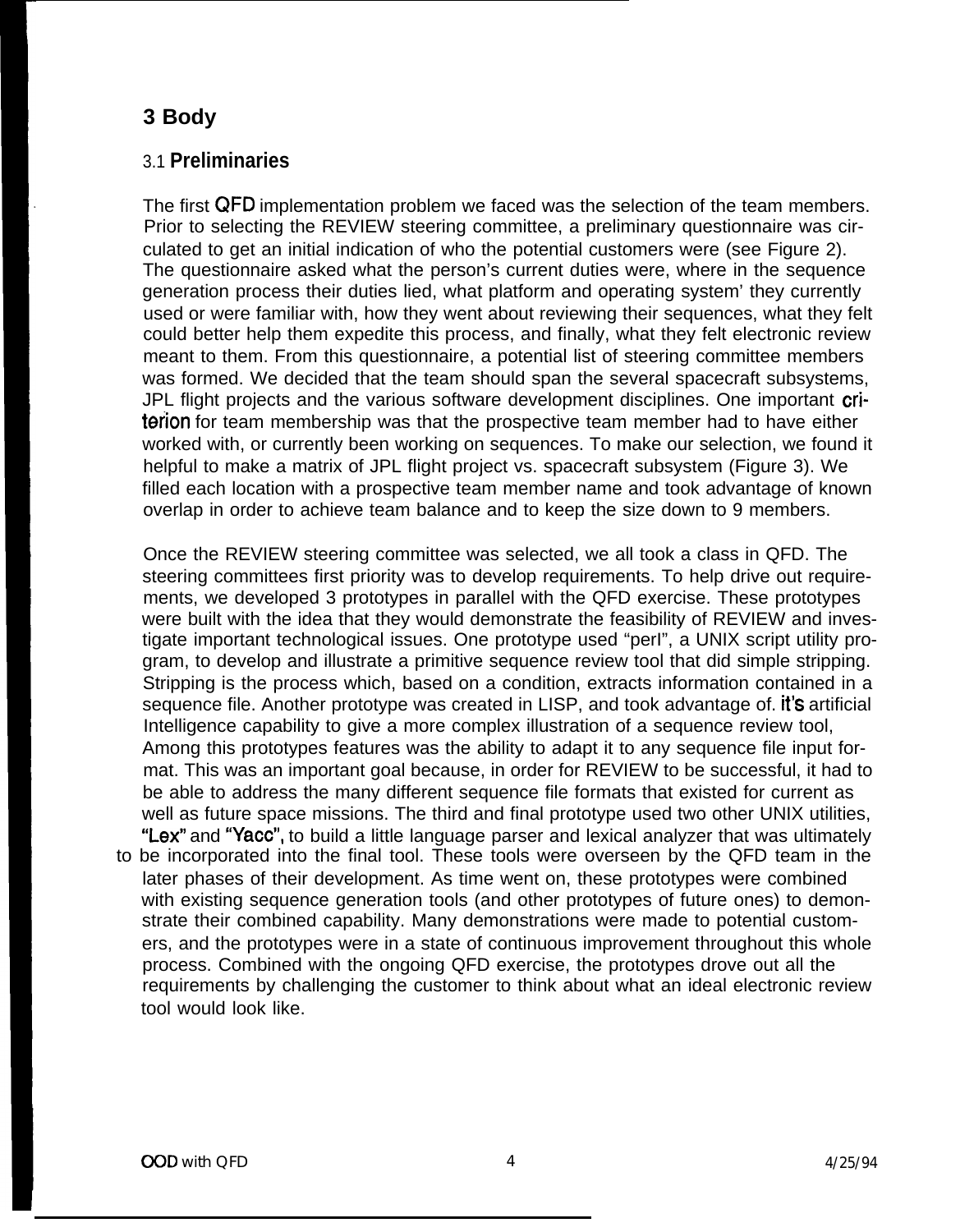# **3 Body**

## 3.1 **Preliminaries**

The first QFD implementation problem we faced was the selection of the team members. Prior to selecting the REVIEW steering committee, a preliminary questionnaire was circulated to get an initial indication of who the potential customers were (see Figure 2). The questionnaire asked what the person's current duties were, where in the sequence generation process their duties lied, what platform and operating system' they currently used or were familiar with, how they went about reviewing their sequences, what they felt could better help them expedite this process, and finally, what they felt electronic review meant to them. From this questionnaire, a potential list of steering committee members was formed. We decided that the team should span the several spacecraft subsystems, JPL flight projects and the various software development disciplines. One important criterion for team membership was that the prospective team member had to have either worked with, or currently been working on sequences. To make our selection, we found it helpful to make a matrix of JPL flight project vs. spacecraft subsystem (Figure 3). We filled each location with a prospective team member name and took advantage of known overlap in order to achieve team balance and to keep the size down to 9 members.

Once the REVIEW steering committee was selected, we all took a class in QFD. The steering committees first priority was to develop requirements. To help drive out requirements, we developed 3 prototypes in parallel with the QFD exercise. These prototypes were built with the idea that they would demonstrate the feasibility of REVIEW and investigate important technological issues. One prototype used "perI", a UNIX script utility program, to develop and illustrate a primitive sequence review tool that did simple stripping. Stripping is the process which, based on a condition, extracts information contained in a sequence file. Another prototype was created in LISP, and took advantage of. it's artificial Intelligence capability to give a more complex illustration of a sequence review tool, Among this prototypes features was the ability to adapt it to any sequence file input format. This was an important goal because, in order for REVIEW to be successful, it had to be able to address the many different sequence file formats that existed for current as well as future space missions. The third and final prototype used two other UNIX utilities, "Lex" and "Yacc", to build a little language parser and lexical analyzer that was ultimately to be incorporated into the final tool. These tools were overseen by the QFD team in the later phases of their development. As time went on, these prototypes were combined with existing sequence generation tools (and other prototypes of future ones) to demonstrate their combined capability. Many demonstrations were made to potential customers, and the prototypes were in a state of continuous improvement throughout this whole process. Combined with the ongoing QFD exercise, the prototypes drove out all the requirements by challenging the customer to think about what an ideal electronic review tool would look like.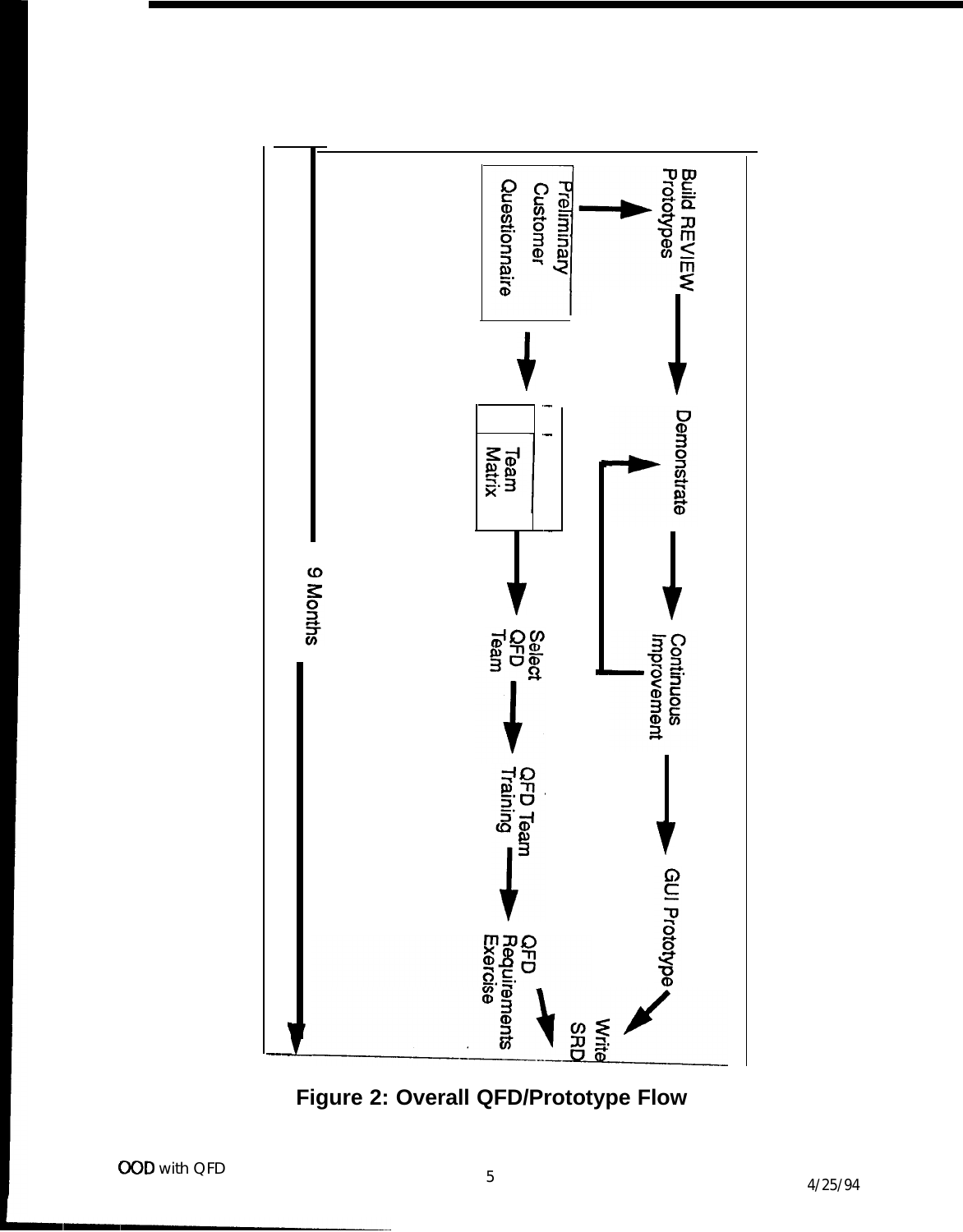

Figure 2: Overall QFD/Prototype Flow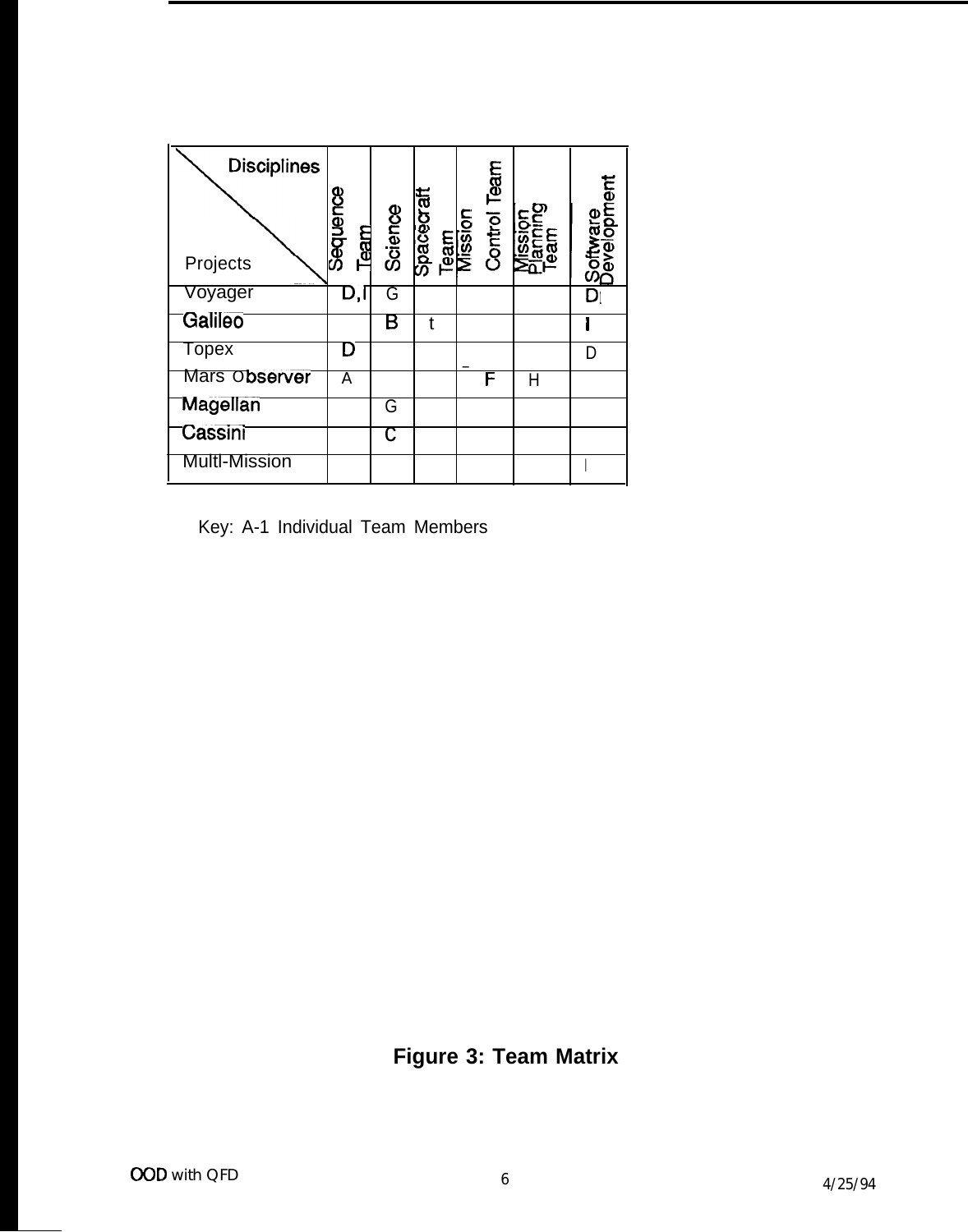| <b>Disciplines</b><br>Projects | Sequence<br>Team | Science | Spacecraft | Team<br>Mission<br>Control Team | lission<br>Janning<br>eam | <b>I</b> Software<br>Development |
|--------------------------------|------------------|---------|------------|---------------------------------|---------------------------|----------------------------------|
| Voyager                        | D,i              | G       |            |                                 |                           | D                                |
| Galileo                        |                  | B       | t          |                                 |                           |                                  |
| Topex                          |                  |         |            |                                 |                           | D                                |
| Mars Observer                  | Α                |         |            | F                               | H                         |                                  |
| Magellan                       |                  | G       |            |                                 |                           |                                  |
| Cassini                        |                  | C       |            |                                 |                           |                                  |
| <b>Multi-Mission</b>           |                  |         |            |                                 |                           |                                  |

Key: A-1 Individual Team Members

# Figure 3: Team Matrix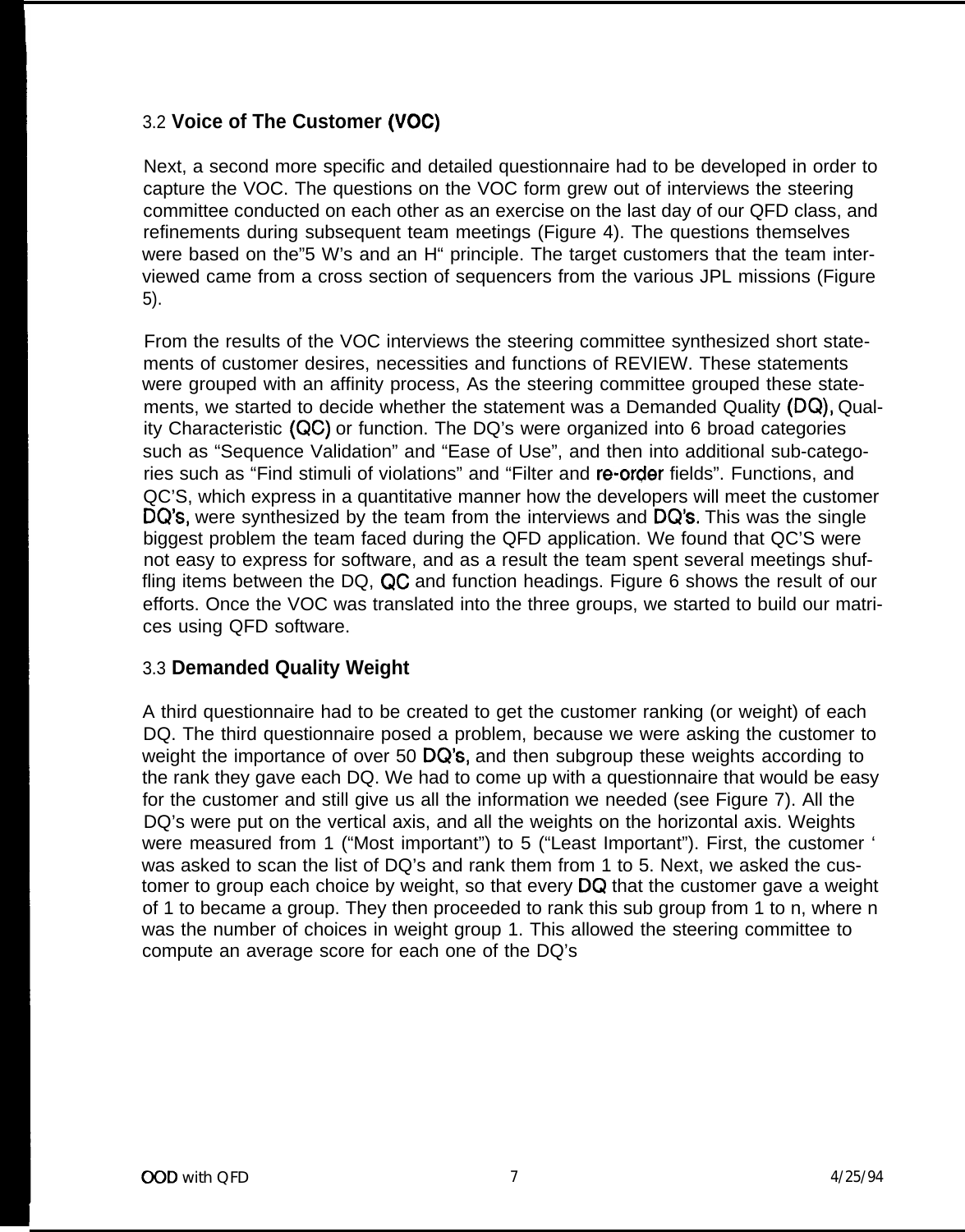# 3.2 **Voice of The Customer (VOC)**

Next, a second more specific and detailed questionnaire had to be developed in order to capture the VOC. The questions on the VOC form grew out of interviews the steering committee conducted on each other as an exercise on the last day of our QFD class, and refinements during subsequent team meetings (Figure 4). The questions themselves were based on the"5 W's and an H" principle. The target customers that the team interviewed came from a cross section of sequencers from the various JPL missions (Figure 5).

From the results of the VOC interviews the steering committee synthesized short statements of customer desires, necessities and functions of REVIEW. These statements were grouped with an affinity process, As the steering committee grouped these statements, we started to decide whether the statement was a Demanded Quality (DQ), Quality Characteristic (QC) or function. The DQ's were organized into 6 broad categories such as "Sequence Validation" and "Ease of Use", and then into additional sub-categories such as "Find stimuli of violations" and "Filter and re-order fields". Functions, and QC'S, which express in a quantitative manner how the developers will meet the customer DQ's, were synthesized by the team from the interviews and DQ's. This was the single biggest problem the team faced during the QFD application. We found that QC'S were not easy to express for software, and as a result the team spent several meetings shuffling items between the DQ, QC and function headings. Figure 6 shows the result of our efforts. Once the VOC was translated into the three groups, we started to build our matrices using QFD software.

## 3.3 **Demanded Quality Weight**

A third questionnaire had to be created to get the customer ranking (or weight) of each DQ. The third questionnaire posed a problem, because we were asking the customer to weight the importance of over 50 DQ's, and then subgroup these weights according to the rank they gave each DQ. We had to come up with a questionnaire that would be easy for the customer and still give us all the information we needed (see Figure 7). All the DQ's were put on the vertical axis, and all the weights on the horizontal axis. Weights were measured from 1 ("Most important") to 5 ("Least Important"). First, the customer ' was asked to scan the list of DQ's and rank them from 1 to 5. Next, we asked the customer to group each choice by weight, so that every DQ that the customer gave a weight of 1 to became a group. They then proceeded to rank this sub group from 1 to n, where n was the number of choices in weight group 1. This allowed the steering committee to compute an average score for each one of the DQ's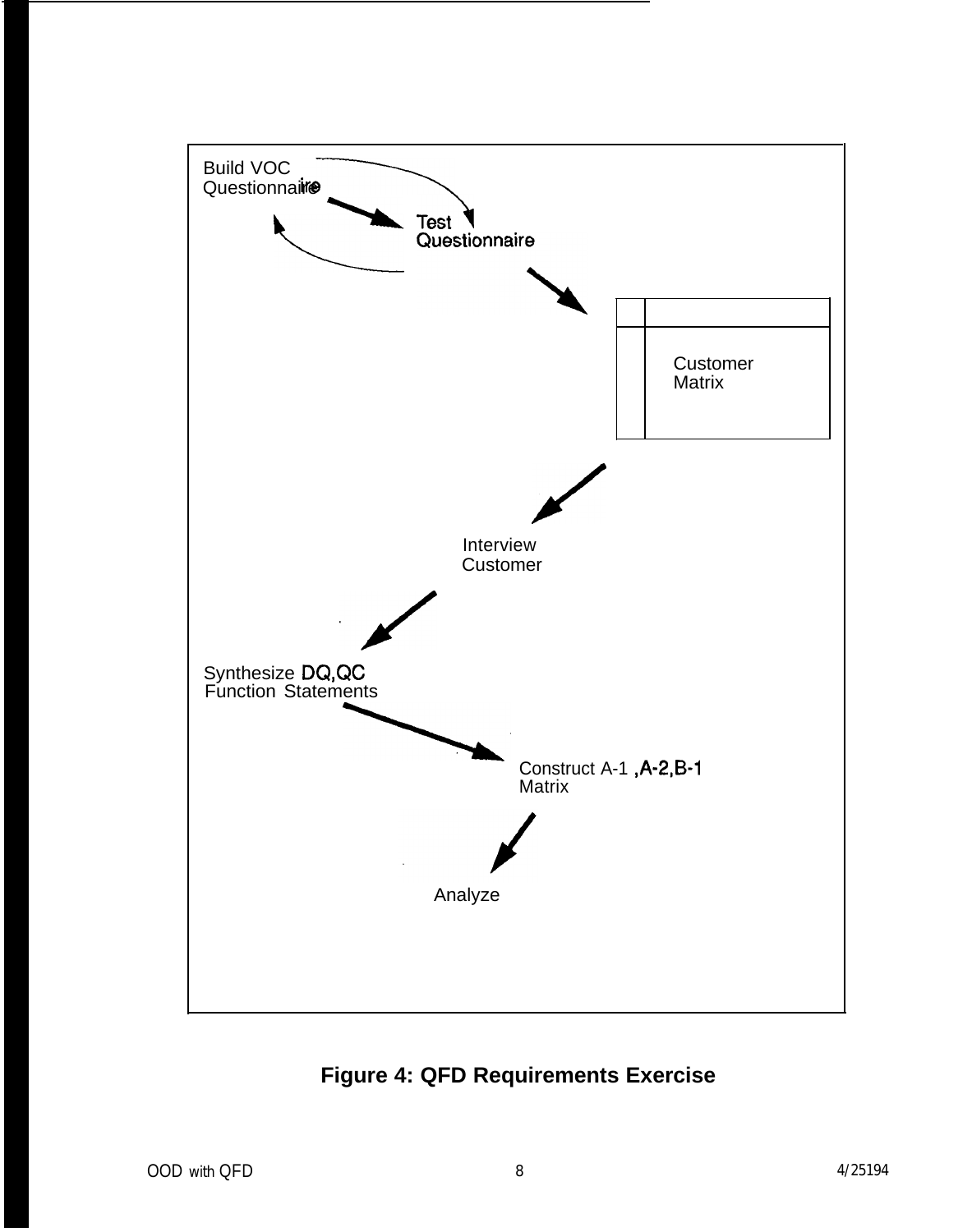

**Figure 4: QFD Requirements Exercise**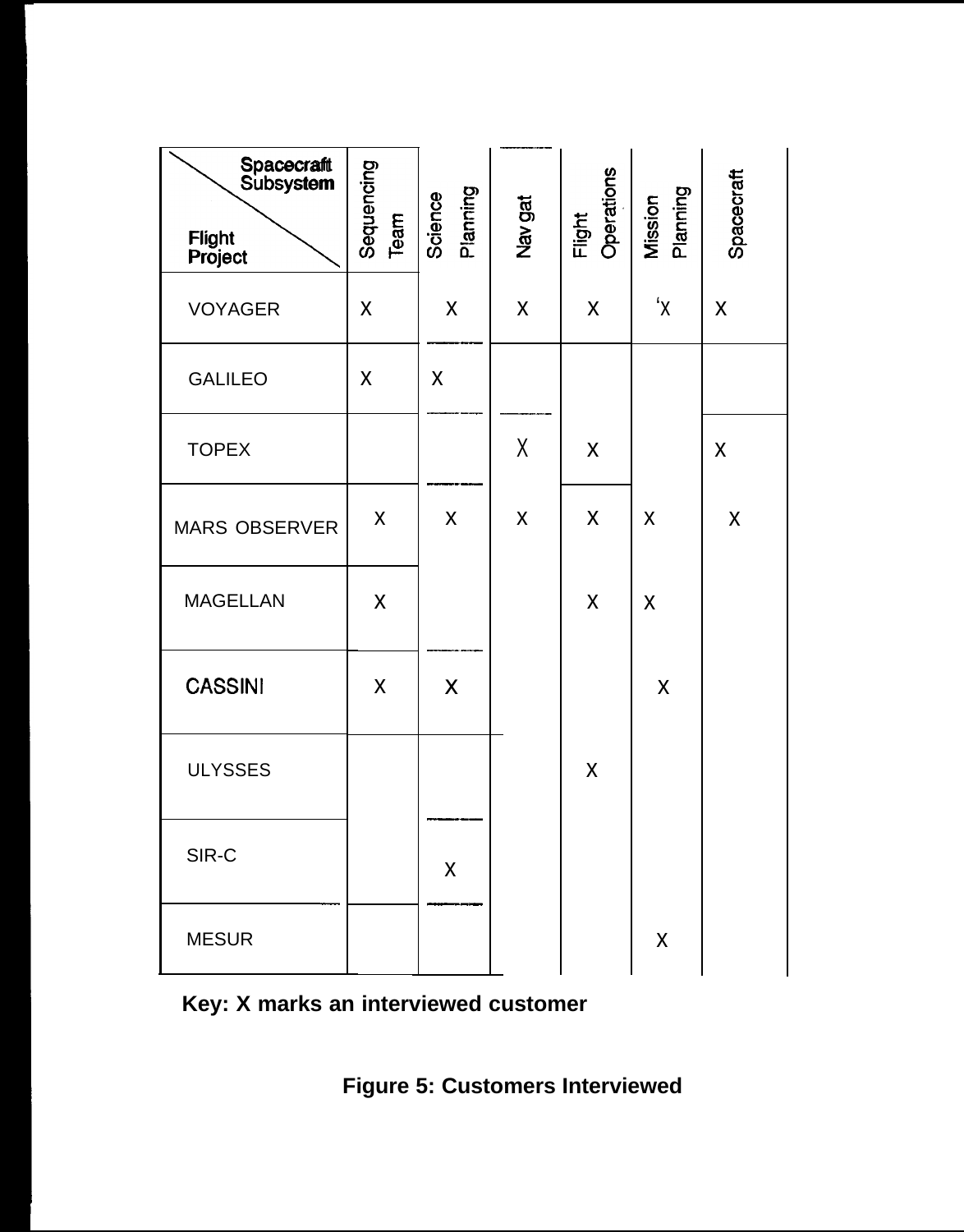| Spacecraft<br>Subsystem<br>Flight<br>Project | Sequencing<br>Team | Planning<br>Science | Nav gat     | Operations<br>Flight | Planning<br>Mission | Spacecraft         |
|----------------------------------------------|--------------------|---------------------|-------------|----------------------|---------------------|--------------------|
| <b>VOYAGER</b>                               | $\pmb{\mathsf{X}}$ | $\pmb{\mathsf{X}}$  | X           | $\pmb{\mathsf{X}}$   | 'X                  | Χ                  |
| <b>GALILEO</b>                               | $\pmb{\mathsf{X}}$ | Χ                   |             |                      |                     |                    |
| <b>TOPEX</b>                                 |                    |                     | $\mathsf X$ | $\pmb{\mathsf{X}}$   |                     | $\pmb{\mathsf{X}}$ |
| <b>MARS OBSERVER</b>                         | X                  | X                   | X           | X                    | X                   | $\mathsf{X}$       |
| <b>MAGELLAN</b>                              | X                  |                     |             | X                    | X                   |                    |
| <b>CASSINI</b>                               | X                  | X                   |             |                      | X                   |                    |
| <b>ULYSSES</b>                               |                    |                     |             | X                    |                     |                    |
| SIR-C                                        |                    | X                   |             |                      |                     |                    |
| <b>MESUR</b>                                 |                    |                     |             |                      | $\pmb{\mathsf{X}}$  |                    |

**Key: X marks an interviewed customer**

**Figure 5: Customers Interviewed**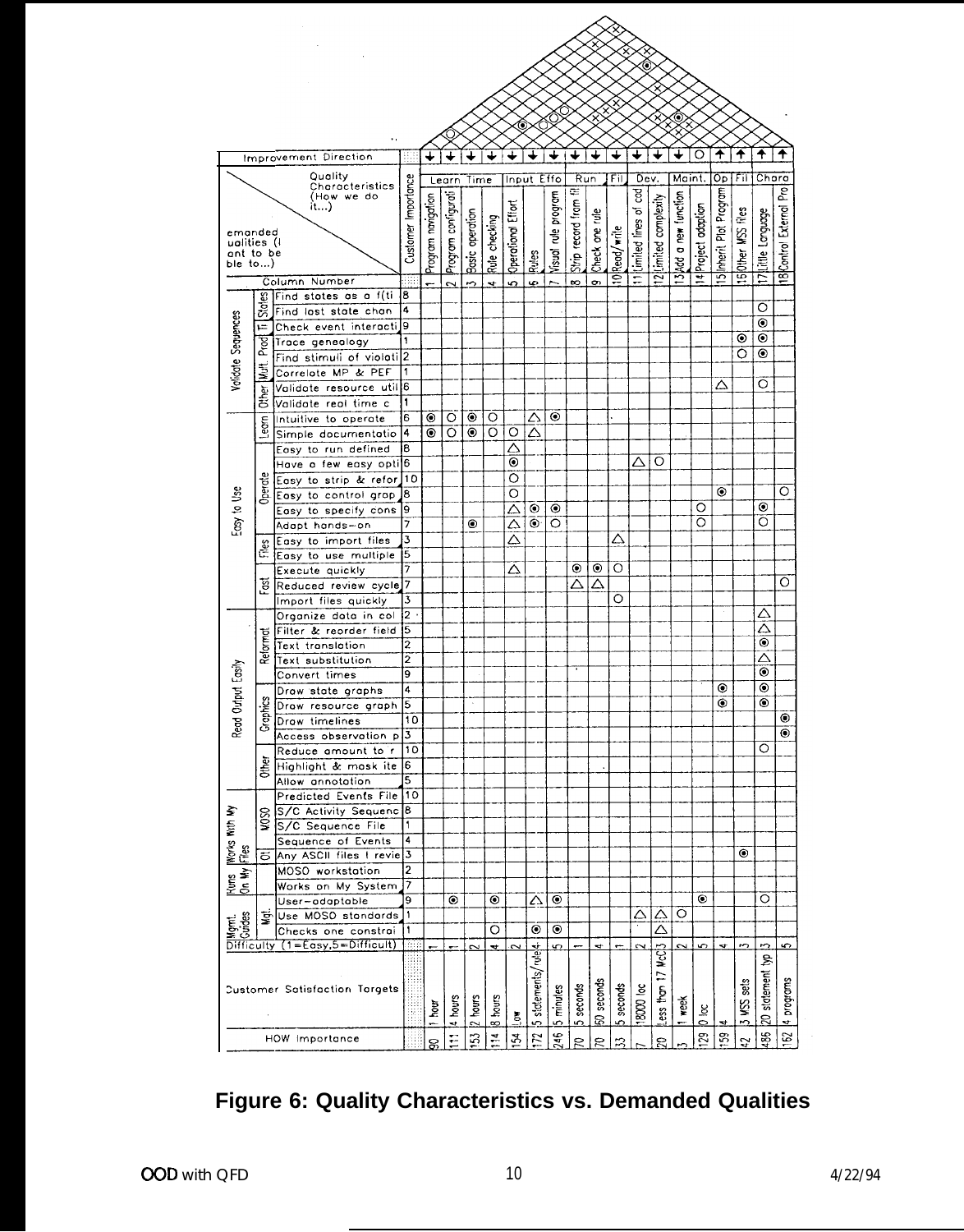|                                   |              | Improvement Direction                                           |                         |                    |                     |                 |                |                                |            |                     |                        |                     |                |                         |                    |                                           | O                  | ✦                      |                    |                    |                         |
|-----------------------------------|--------------|-----------------------------------------------------------------|-------------------------|--------------------|---------------------|-----------------|----------------|--------------------------------|------------|---------------------|------------------------|---------------------|----------------|-------------------------|--------------------|-------------------------------------------|--------------------|------------------------|--------------------|--------------------|-------------------------|
|                                   |              | Quality<br>Characteristics                                      |                         |                    | Learn               | Time            |                |                                | Input Effo |                     | Run                    |                     | Fil,           | Dev.                    |                    | Maint.                                    |                    | Оp                     | Fil                | Choro              |                         |
|                                   |              | (How we do<br>it)                                               | Customer Importance     | Program navigation | Program configurati | Basic operation |                | <b>Perational Effort</b>       |            | fisual rule program | Œ<br>Strip record from | Check one rule      |                | 11 Limited lines of cod | Limited complexity | 3)Add a new function                      | 4 Project adaption | S Inheril Plot Program | 16 Other MSS files | 17 Little Language | 18 Control External Pro |
| emanded<br>ualities (l            |              |                                                                 |                         |                    |                     |                 | Rule checking  |                                |            |                     |                        |                     | Reod/write     |                         |                    |                                           |                    |                        |                    |                    |                         |
| ant to be<br>ble to)              |              |                                                                 |                         |                    |                     |                 |                |                                | Rules      |                     |                        |                     |                |                         |                    |                                           |                    |                        |                    |                    |                         |
|                                   |              | Column Number                                                   |                         |                    |                     |                 |                | $\Omega$                       | 6          |                     | $\infty$               | ò,                  |                |                         |                    |                                           |                    |                        |                    |                    |                         |
|                                   |              | Find stotes as a f(ti                                           | 8                       |                    |                     |                 |                |                                |            |                     |                        |                     |                |                         |                    |                                           |                    |                        |                    |                    |                         |
|                                   | ट्ट          | Find last state chan                                            | 4                       |                    |                     |                 |                |                                |            |                     |                        |                     |                |                         |                    |                                           |                    |                        |                    | O<br>$\odot$       |                         |
|                                   |              | Check event interacti                                           | 9                       |                    |                     |                 |                |                                |            |                     |                        |                     |                |                         |                    |                                           |                    |                        | ◉                  | ◉                  |                         |
| Volidate Sequences                | Prod         | Trace genealogy<br>Find stimuli of violati                      | 12                      |                    |                     |                 |                |                                |            |                     |                        |                     |                |                         |                    |                                           |                    |                        | O                  | ◉                  |                         |
|                                   |              | Correlate MP & PEF                                              |                         |                    |                     |                 |                |                                |            |                     |                        |                     |                |                         |                    |                                           |                    |                        |                    |                    |                         |
|                                   | ፟፼           | Validate resource util                                          | 16                      |                    |                     |                 |                |                                |            |                     |                        |                     |                |                         |                    |                                           |                    | △                      |                    | О                  |                         |
|                                   | ≅            | Validate real time c                                            | 1                       |                    |                     |                 |                |                                |            |                     |                        |                     |                |                         |                    |                                           |                    |                        |                    |                    |                         |
|                                   | earn         | Intuitive to operate                                            | 6                       | ◉                  | O                   | $_{\odot}$      | O              |                                | Δ          | ◉                   |                        |                     |                |                         |                    |                                           |                    |                        |                    |                    |                         |
|                                   |              | Simple documentatio                                             | 4                       | $\odot$            | O                   | ◉               | O              | O                              | Δ          |                     |                        |                     |                |                         |                    |                                           |                    |                        |                    |                    |                         |
|                                   |              | Easy to run defined                                             | 8                       |                    |                     |                 |                | Δ<br>◉                         |            |                     |                        |                     |                | Δ                       | O                  |                                           |                    |                        |                    |                    |                         |
|                                   |              | Have a few easy opti                                            | 6<br>10                 |                    |                     |                 |                | O                              |            |                     |                        |                     |                |                         |                    |                                           |                    |                        |                    |                    |                         |
|                                   | Operate      | Easy to strip & refor<br>Easy to control grap                   | 8                       |                    |                     |                 |                | O                              |            |                     |                        |                     |                |                         |                    |                                           |                    | ◉                      |                    |                    | O                       |
| Easy to Use                       |              | Easy to specify cons                                            | l9                      |                    |                     |                 |                | Δ                              | ◉          | ◉                   |                        |                     |                |                         |                    |                                           | O                  |                        |                    | ◉                  |                         |
|                                   |              | Adapt hands-on                                                  | 7                       |                    |                     | ◉               |                | Δ                              | $\odot$    | O                   |                        |                     |                |                         |                    |                                           | $\circ$            |                        |                    | O                  |                         |
|                                   |              | Easy to import files                                            | 3                       |                    |                     |                 |                | Ä                              |            |                     |                        |                     | Δ              |                         |                    |                                           |                    |                        |                    |                    |                         |
|                                   | Files        | Easy to use multiple                                            | 5                       |                    |                     |                 |                |                                |            |                     |                        |                     |                |                         |                    |                                           |                    |                        |                    |                    |                         |
|                                   |              | Execute quickly                                                 | 7                       |                    |                     |                 |                | Δ                              |            |                     | $\circ$                | ◉                   | O              |                         |                    |                                           |                    |                        |                    |                    | Ο                       |
|                                   | ě            | Reduced review cycle                                            | 7                       |                    |                     |                 |                |                                |            |                     | Δ                      | Δ                   | O              |                         |                    |                                           |                    |                        |                    |                    |                         |
|                                   |              | Import files quickly<br>Organize data in col                    | 3<br>2                  |                    |                     |                 |                |                                |            |                     |                        |                     |                |                         |                    |                                           |                    |                        |                    | Δ                  |                         |
|                                   |              | Filter & reorder field                                          | 5                       |                    |                     |                 |                |                                |            |                     |                        |                     |                |                         |                    |                                           |                    |                        |                    | Ā                  |                         |
|                                   | Reformat     | Text translation                                                | $\overline{\mathbf{c}}$ |                    |                     |                 |                |                                |            |                     |                        |                     |                |                         |                    |                                           |                    |                        |                    | ◉                  |                         |
|                                   |              | Text substitution                                               | 2                       |                    |                     |                 |                |                                |            |                     |                        |                     |                |                         |                    |                                           |                    |                        |                    | Δ                  |                         |
|                                   |              | Convert times                                                   | 9                       |                    |                     |                 |                |                                |            |                     |                        |                     |                |                         |                    |                                           |                    |                        |                    | $\odot$            |                         |
| Read Output Easily                |              | Draw state graphs                                               | 4                       |                    |                     |                 |                |                                |            |                     |                        |                     |                |                         |                    |                                           |                    | ◉<br>◉                 |                    | ◉<br>$\odot$       |                         |
|                                   | Graphics     | Draw resource graph<br>Draw timelines                           | 5<br>10                 |                    |                     |                 |                |                                |            |                     |                        |                     |                |                         |                    |                                           |                    |                        |                    |                    | ◉                       |
|                                   |              | Access observation p                                            | 3                       |                    |                     |                 |                |                                |            |                     |                        |                     |                |                         |                    |                                           |                    |                        |                    |                    | $\odot$                 |
|                                   |              | Reduce amount to r                                              | 10                      |                    |                     |                 |                |                                |            |                     |                        |                     |                |                         |                    |                                           |                    |                        |                    | O                  |                         |
|                                   | <b>Other</b> | Highlight & mask ite                                            | 6                       |                    |                     |                 |                |                                |            |                     |                        |                     |                |                         |                    |                                           |                    |                        |                    |                    |                         |
|                                   |              | Allow annotation                                                |                         |                    |                     |                 |                |                                |            |                     |                        |                     |                |                         |                    |                                           |                    |                        |                    |                    |                         |
|                                   |              | Predicted Events File 10                                        |                         |                    |                     |                 |                |                                |            |                     |                        |                     |                |                         |                    |                                           |                    |                        |                    |                    |                         |
|                                   | <b>NOSO</b>  | S/C Activity Sequenc <sup>8</sup>                               | 1                       |                    |                     |                 |                |                                |            |                     |                        |                     |                |                         |                    |                                           |                    |                        |                    |                    |                         |
|                                   |              | S/C Sequence File<br>Sequence of Events                         | 4                       |                    |                     |                 |                |                                |            |                     |                        |                     |                |                         |                    |                                           |                    |                        |                    |                    |                         |
| Kuns Morks With My<br>On My Files |              | る Any ASCII files I revie 3                                     |                         |                    |                     |                 |                |                                |            |                     |                        |                     |                |                         |                    |                                           |                    |                        | ◉                  |                    |                         |
|                                   |              | MOSO workstation                                                | 2                       |                    |                     |                 |                |                                |            |                     |                        |                     |                |                         |                    |                                           |                    |                        |                    |                    |                         |
|                                   |              | Works on My System                                              | 7                       |                    |                     |                 |                |                                |            |                     |                        |                     |                |                         |                    |                                           |                    |                        |                    |                    |                         |
|                                   |              | User-adaptable                                                  | 9                       |                    | ◉                   |                 | ◉              |                                | Δ          | ◉                   |                        |                     |                |                         |                    |                                           | $\circ$            |                        |                    | O                  |                         |
| Mgmt.<br>Guides                   |              | Use MOSO stondards 1                                            |                         |                    |                     |                 | O              |                                | ◉          | $\circledcirc$      |                        |                     |                | Δ.                      | $\triangle$<br>Δ   | $\circ$                                   |                    |                        |                    |                    |                         |
|                                   |              | Checks one constrai<br>$Difficuity$ $(1 = Easy, 5 = Difficult)$ | 1                       |                    |                     | $\sim$          | ÷.             | $\sim$                         |            | ∽.                  |                        | 4                   |                | $\sim$                  | $\overline{ }$     | $\sim$                                    | $\mathbf{r}$       | 4                      | 3                  | $\mathbf{r}$       | $\overline{5}$          |
|                                   |              |                                                                 |                         |                    |                     |                 |                |                                |            |                     |                        |                     |                |                         | ਨੂੰ                |                                           |                    |                        |                    | $\epsilon$         |                         |
| Customer Satisfaction Targets     |              |                                                                 | $\frac{1}{2}$           | 14 hours           | 2 hours             | 8 hours         | $\tilde{5}$    | statements/rule <sub>4</sub> . | 5 minutes  | 5 seconds           | 50 seconds             | seconds<br>$\Omega$ | 18000 loc      | ess than 17             | week               | $\overline{5}$<br>$\overline{\mathbf{C}}$ |                    | 3 MSS sets             | 20 statement       | 4 programs         |                         |
|                                   |              | HOW Importance                                                  |                         |                    | Ë                   | 153             | $\frac{4}{11}$ | $\mathfrak{F}$                 | 5<br>172   | 246                 | R                      | $\mathcal{Z}$       | $\mathfrak{L}$ |                         | g                  |                                           | $\mathbf{z}$       | ᆉ<br>S,                | ٢Î,                | 485                | 311                     |
|                                   |              |                                                                 |                         | S                  |                     |                 |                |                                |            |                     |                        |                     |                |                         |                    |                                           |                    |                        |                    |                    |                         |

 $\label{eq:2.1} \frac{1}{\sqrt{2\pi}}\sum_{i=1}^n\frac{1}{\sqrt{2\pi}}\sum_{i=1}^n\frac{1}{\sqrt{2\pi}}\sum_{i=1}^n\frac{1}{\sqrt{2\pi}}\sum_{i=1}^n\frac{1}{\sqrt{2\pi}}\sum_{i=1}^n\frac{1}{\sqrt{2\pi}}\sum_{i=1}^n\frac{1}{\sqrt{2\pi}}\sum_{i=1}^n\frac{1}{\sqrt{2\pi}}\sum_{i=1}^n\frac{1}{\sqrt{2\pi}}\sum_{i=1}^n\frac{1}{\sqrt{2\pi}}\sum_{i=1}^n\$ 

# **Figure 6: Quality Characteristics vs. Demanded Qualities**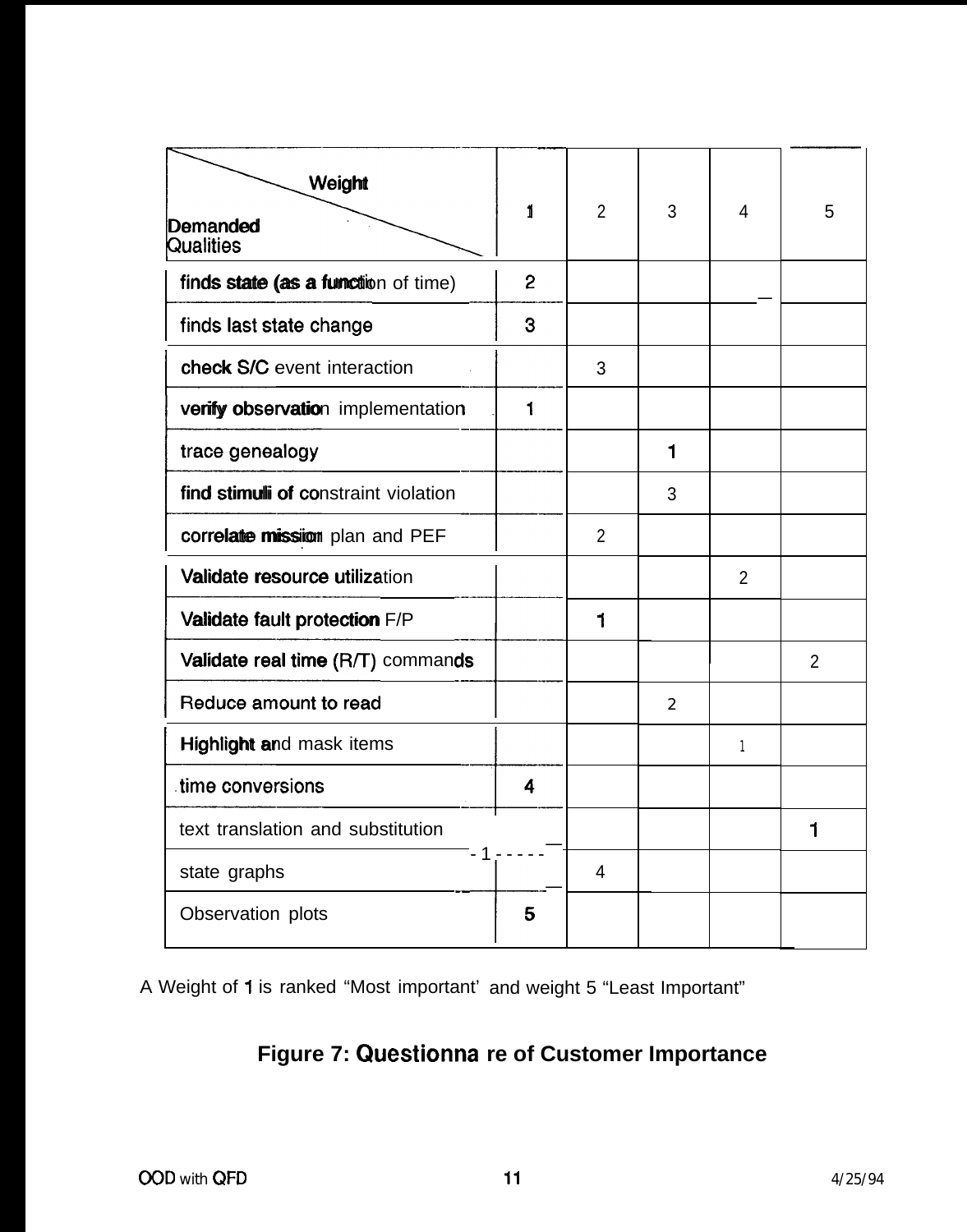| Weight                               |   |                |                |                |                |
|--------------------------------------|---|----------------|----------------|----------------|----------------|
| <b>Demanded</b><br>Qualities         | 1 | $\overline{2}$ | 3              | 4              | 5              |
| finds state (as a function of time)  | 2 |                |                |                |                |
| finds last state change              | 3 |                |                |                |                |
| check S/C event interaction          |   | 3              |                |                |                |
| verify observation implementation    | 1 |                |                |                |                |
| trace genealogy                      |   |                | 1              |                |                |
| find stimuli of constraint violation |   |                | 3              |                |                |
| correlate mission plan and PEF       |   | $\overline{2}$ |                |                |                |
| Validate resource utilization        |   |                |                | $\overline{2}$ |                |
| Validate fault protection F/P        |   | 1              |                |                |                |
| Validate real time (R/T) commands    |   |                |                |                | $\overline{2}$ |
| Reduce amount to read                |   |                | $\overline{2}$ |                |                |
| <b>Highlight and mask items</b>      |   |                |                | 1              |                |
| time conversions                     | 4 |                |                |                |                |
| text translation and substitution    |   |                |                |                | 1              |
| - 1<br>state graphs                  |   | 4              |                |                |                |
| Observation plots                    | 5 |                |                |                |                |
|                                      |   |                |                |                |                |

A Weight of 1 is ranked "Most important' and weight 5 "Least Important"

# **Figure 7: Questionna re of Customer Importance**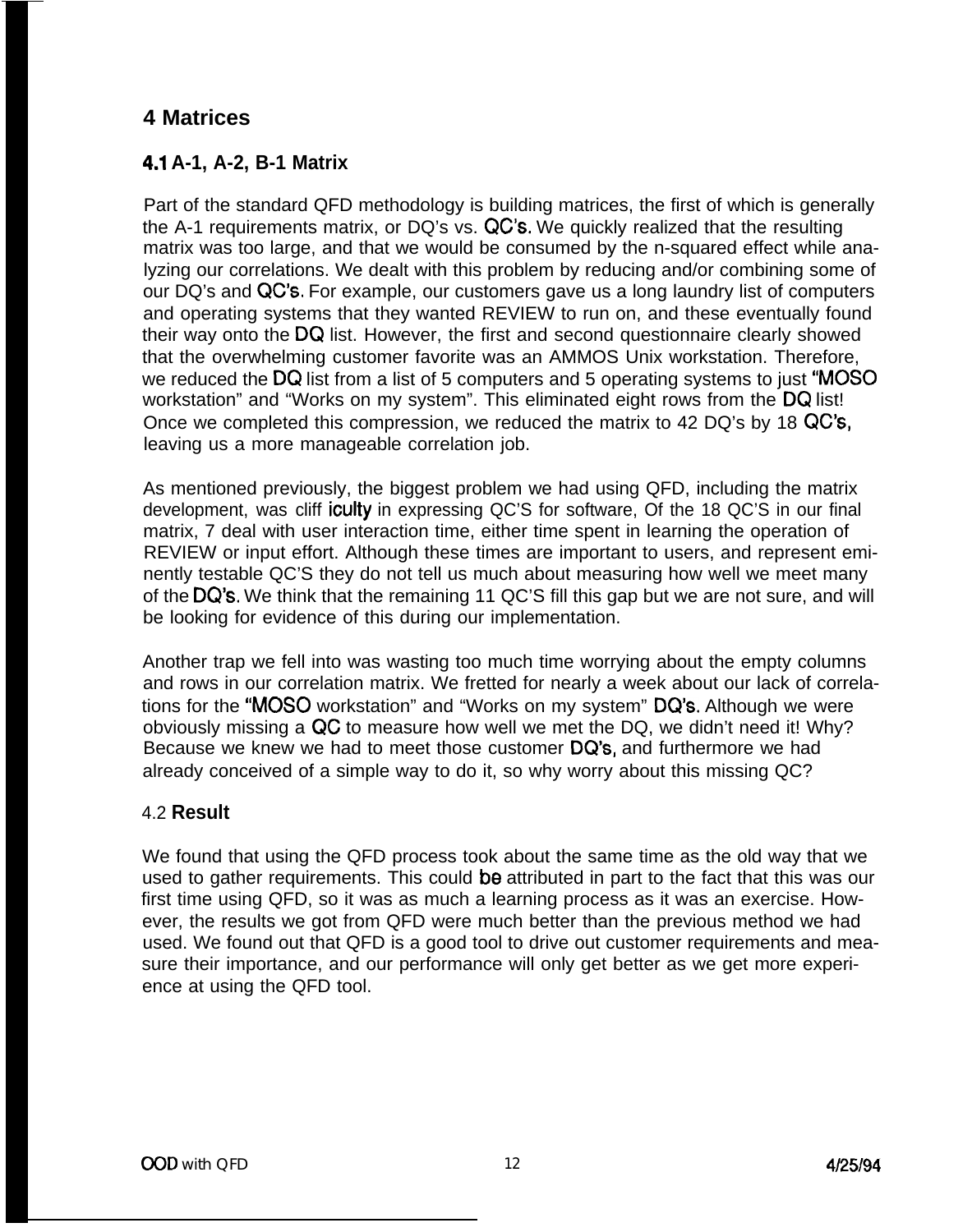# **4 Matrices**

## 4.1 **A-1, A-2, B-1 Matrix**

Part of the standard QFD methodology is building matrices, the first of which is generally the A-1 requirements matrix, or DQ's vs. QC'S. We quickly realized that the resulting matrix was too large, and that we would be consumed by the n-squared effect while analyzing our correlations. We dealt with this problem by reducing and/or combining some of our DQ's and QC'S. For example, our customers gave us a long laundry list of computers and operating systems that they wanted REVIEW to run on, and these eventually found their way onto the DQ list. However, the first and second questionnaire clearly showed that the overwhelming customer favorite was an AMMOS Unix workstation. Therefore, we reduced the DQ list from a list of 5 computers and 5 operating systems to just "MOSO workstation" and "Works on my system". This eliminated eight rows from the DQ list! Once we completed this compression, we reduced the matrix to 42 DQ's by 18 QC'S, leaving us a more manageable correlation job.

As mentioned previously, the biggest problem we had using QFD, including the matrix development, was cliff iculty in expressing QC'S for software, Of the 18 QC'S in our final matrix, 7 deal with user interaction time, either time spent in learning the operation of REVIEW or input effort. Although these times are important to users, and represent eminently testable QC'S they do not tell us much about measuring how well we meet many of the DQ's. We think that the remaining 11 QC'S fill this gap but we are not sure, and will be looking for evidence of this during our implementation.

Another trap we fell into was wasting too much time worrying about the empty columns and rows in our correlation matrix. We fretted for nearly a week about our lack of correlations for the "MOSO workstation" and "Works on my system" DQ's. Although we were obviously missing a QC to measure how well we met the DQ, we didn't need it! Why? Because we knew we had to meet those customer DQ's, and furthermore we had already conceived of a simple way to do it, so why worry about this missing QC?

#### 4.2 **Result**

We found that using the QFD process took about the same time as the old way that we used to gather requirements. This could be attributed in part to the fact that this was our first time using QFD, so it was as much a learning process as it was an exercise. However, the results we got from QFD were much better than the previous method we had used. We found out that QFD is a good tool to drive out customer requirements and measure their importance, and our performance will only get better as we get more experience at using the QFD tool.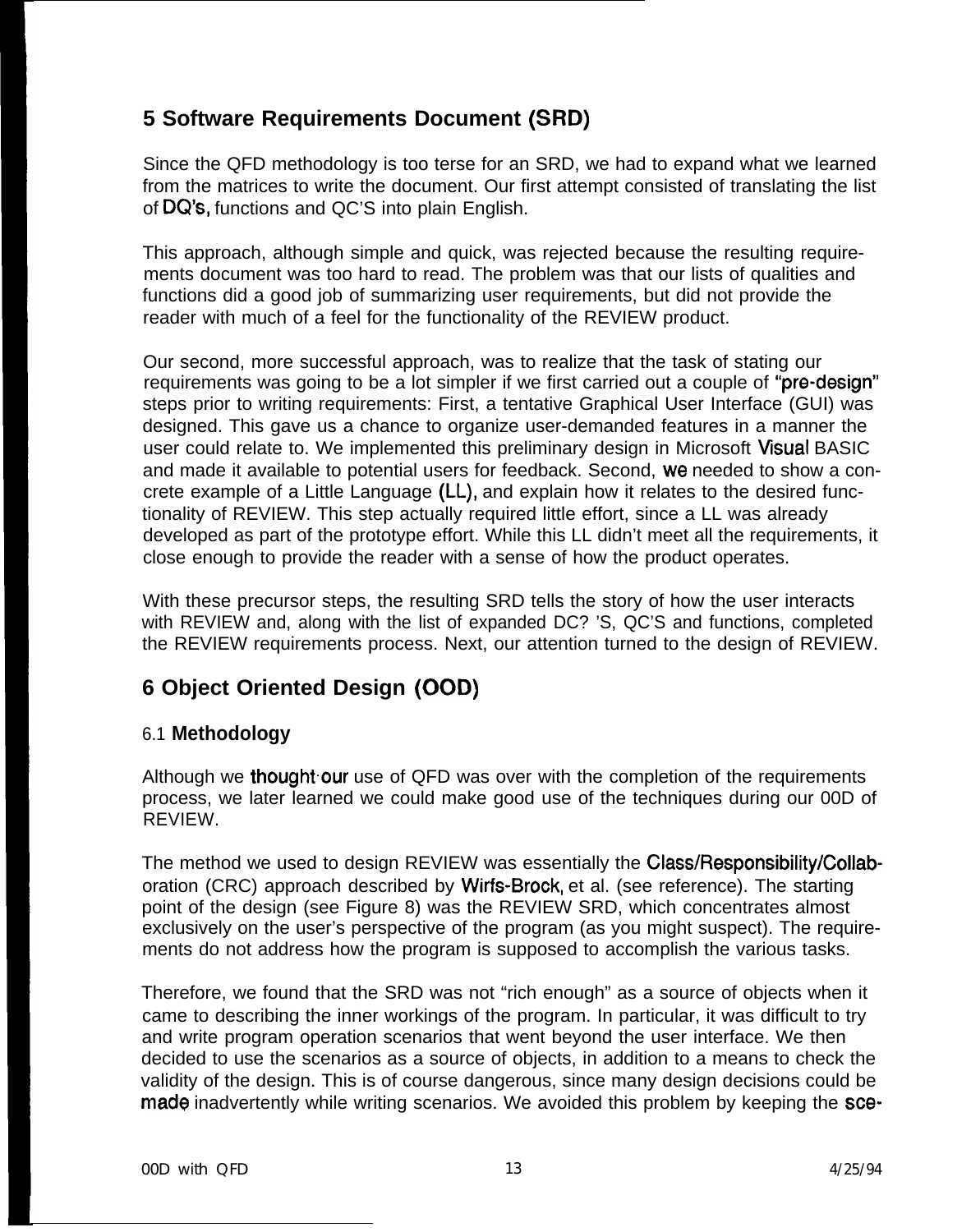# **5 Software Requirements Document (SRD)**

Since the QFD methodology is too terse for an SRD, we had to expand what we learned from the matrices to write the document. Our first attempt consisted of translating the list of DQ's, functions and QC'S into plain English.

This approach, although simple and quick, was rejected because the resulting requirements document was too hard to read. The problem was that our lists of qualities and functions did a good job of summarizing user requirements, but did not provide the reader with much of a feel for the functionality of the REVIEW product.

Our second, more successful approach, was to realize that the task of stating our requirements was going to be a lot simpler if we first carried out a couple of "pre-design" steps prior to writing requirements: First, a tentative Graphical User Interface (GUI) was designed. This gave us a chance to organize user-demanded features in a manner the user could relate to. We implemented this preliminary design in Microsoft Visual BASIC and made it available to potential users for feedback. Second, we needed to show a concrete example of a Little Language (LL), and explain how it relates to the desired functionality of REVIEW. This step actually required little effort, since a LL was already developed as part of the prototype effort. While this LL didn't meet all the requirements, it close enough to provide the reader with a sense of how the product operates.

With these precursor steps, the resulting SRD tells the story of how the user interacts with REVIEW and, along with the list of expanded DC? 'S, QC'S and functions, completed the REVIEW requirements process. Next, our attention turned to the design of REVIEW.

# **6 Object Oriented Design (OOD)**

## 6.1 **Methodology**

Although we thought our use of QFD was over with the completion of the requirements process, we later learned we could make good use of the techniques during our 00D of REVIEW.

The method we used to design REVIEW was essentially the Class/Responsibility/ColIaboration (CRC) approach described by Wirfs-Brock, et al. (see reference). The starting point of the design (see Figure 8) was the REVIEW SRD, which concentrates almost exclusively on the user's perspective of the program (as you might suspect). The requirements do not address how the program is supposed to accomplish the various tasks.

Therefore, we found that the SRD was not "rich enough" as a source of objects when it came to describing the inner workings of the program. In particular, it was difficult to try and write program operation scenarios that went beyond the user interface. We then decided to use the scenarios as a source of objects, in addition to a means to check the validity of the design. This is of course dangerous, since many design decisions could be made inadvertently while writing scenarios. We avoided this problem by keeping the SCO-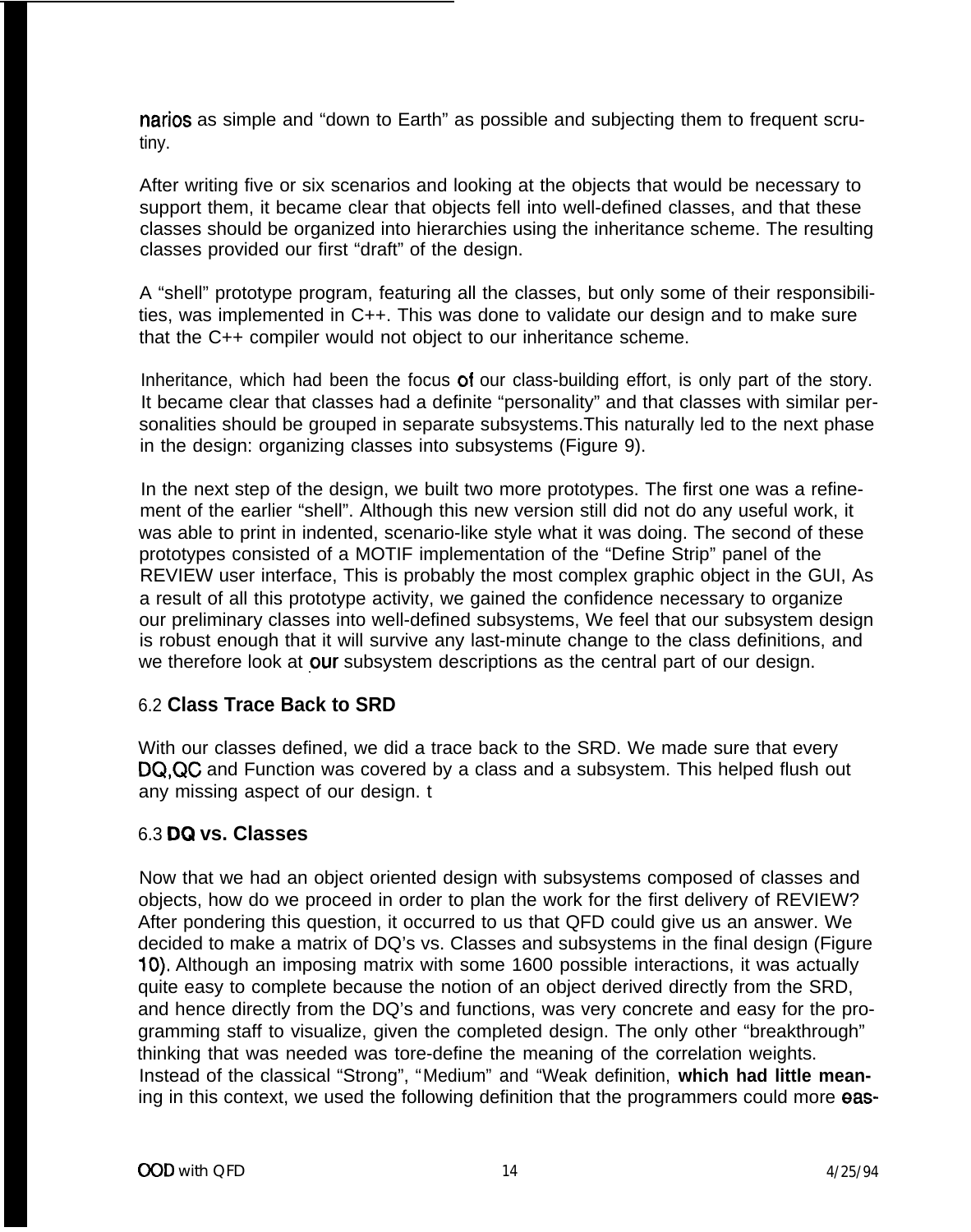narios as simple and "down to Earth" as possible and subjecting them to frequent scrutiny.

After writing five or six scenarios and looking at the objects that would be necessary to support them, it became clear that objects fell into well-defined classes, and that these classes should be organized into hierarchies using the inheritance scheme. The resulting classes provided our first "draft" of the design.

A "shell" prototype program, featuring all the classes, but only some of their responsibilities, was implemented in C++. This was done to validate our design and to make sure that the C++ compiler would not object to our inheritance scheme.

Inheritance, which had been the focus of our class-building effort, is only part of the story. It became clear that classes had a definite "personality" and that classes with similar personalities should be grouped in separate subsystems.This naturally led to the next phase in the design: organizing classes into subsystems (Figure 9).

In the next step of the design, we built two more prototypes. The first one was a refinement of the earlier "shell". Although this new version still did not do any useful work, it was able to print in indented, scenario-like style what it was doing. The second of these prototypes consisted of a MOTIF implementation of the "Define Strip" panel of the REVIEW user interface, This is probably the most complex graphic object in the GUI, As a result of all this prototype activity, we gained the confidence necessary to organize our preliminary classes into well-defined subsystems, We feel that our subsystem design is robust enough that it will survive any last-minute change to the class definitions, and we therefore look at our subsystem descriptions as the central part of our design.

## 6.2 **Class Trace Back to SRD**

With our classes defined, we did a trace back to the SRD. We made sure that every DQ, QC and Function was covered by a class and a subsystem. This helped flush out any missing aspect of our design. t

## 6.3 **DQ vs. Classes**

Now that we had an object oriented design with subsystems composed of classes and objects, how do we proceed in order to plan the work for the first delivery of REVIEW? After pondering this question, it occurred to us that QFD could give us an answer. We decided to make a matrix of DQ's vs. Classes and subsystems in the final design (Figure 10). Although an imposing matrix with some 1600 possible interactions, it was actually quite easy to complete because the notion of an object derived directly from the SRD, and hence directly from the DQ's and functions, was very concrete and easy for the programming staff to visualize, given the completed design. The only other "breakthrough" thinking that was needed was tore-define the meaning of the correlation weights. Instead of the classical "Strong", "Medium" and "Weak definition, **which had little mean**ing in this context, we used the following definition that the programmers could more eas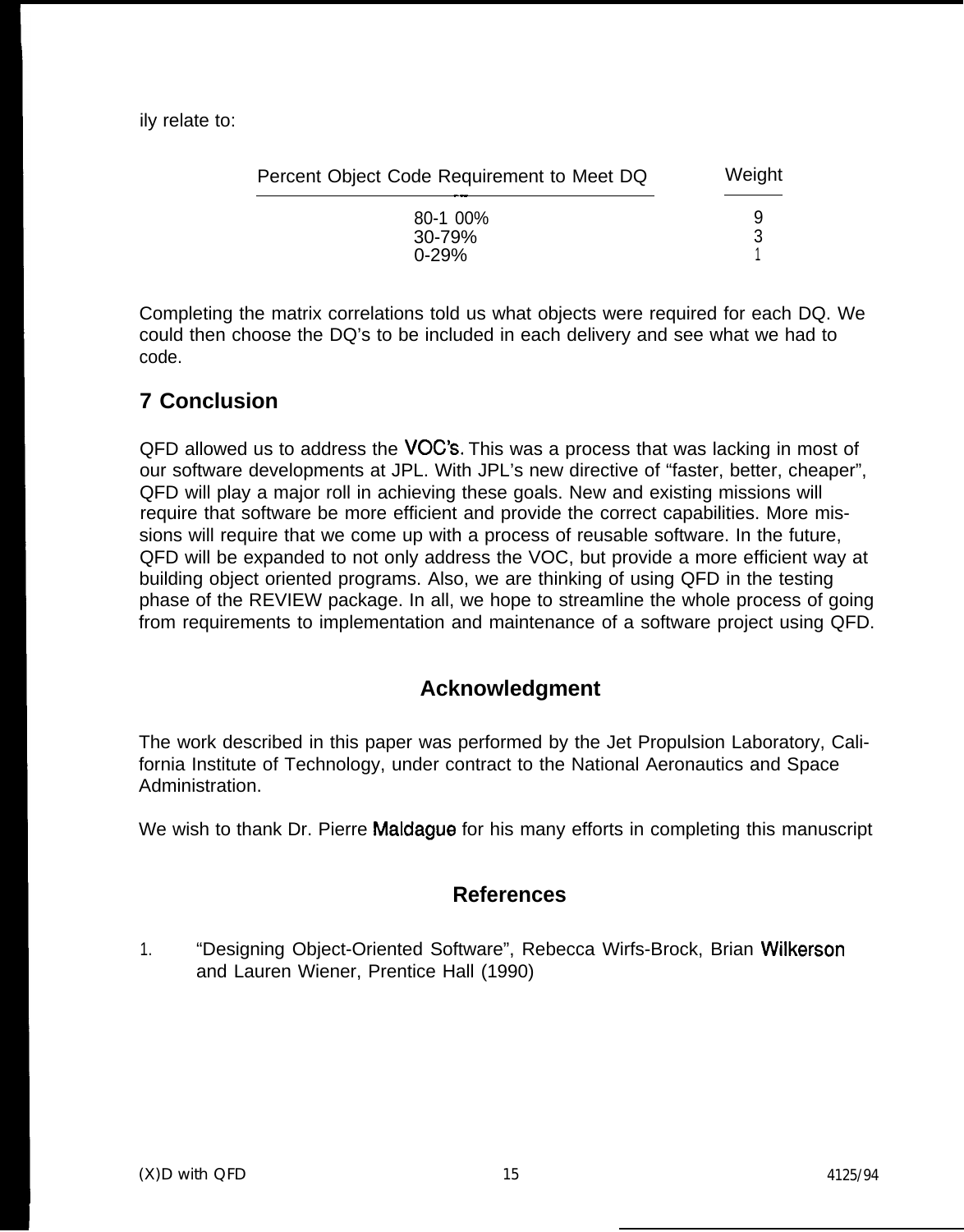ily relate to:

| Percent Object Code Requirement to Meet DQ | Weight |
|--------------------------------------------|--------|
| 80-1 00%<br>30-79%<br>$0 - 29%$            | 9<br>ঽ |

Completing the matrix correlations told us what objects were required for each DQ. We could then choose the DQ's to be included in each delivery and see what we had to code.

# **7 Conclusion**

QFD allowed us to address the VOC'S. This was a process that was lacking in most of our software developments at JPL. With JPL's new directive of "faster, better, cheaper", QFD will play a major roll in achieving these goals. New and existing missions will require that software be more efficient and provide the correct capabilities. More missions will require that we come up with a process of reusable software. In the future, QFD will be expanded to not only address the VOC, but provide a more efficient way at building object oriented programs. Also, we are thinking of using QFD in the testing phase of the REVIEW package. In all, we hope to streamline the whole process of going from requirements to implementation and maintenance of a software project using QFD.

## **Acknowledgment**

The work described in this paper was performed by the Jet Propulsion Laboratory, California Institute of Technology, under contract to the National Aeronautics and Space Administration.

We wish to thank Dr. Pierre **Maldague** for his many efforts in completing this manuscript

## **References**

1. "Designing Object-Oriented Software", Rebecca Wirfs-Brock, Brian Wilkerson and Lauren Wiener, Prentice Hall (1990)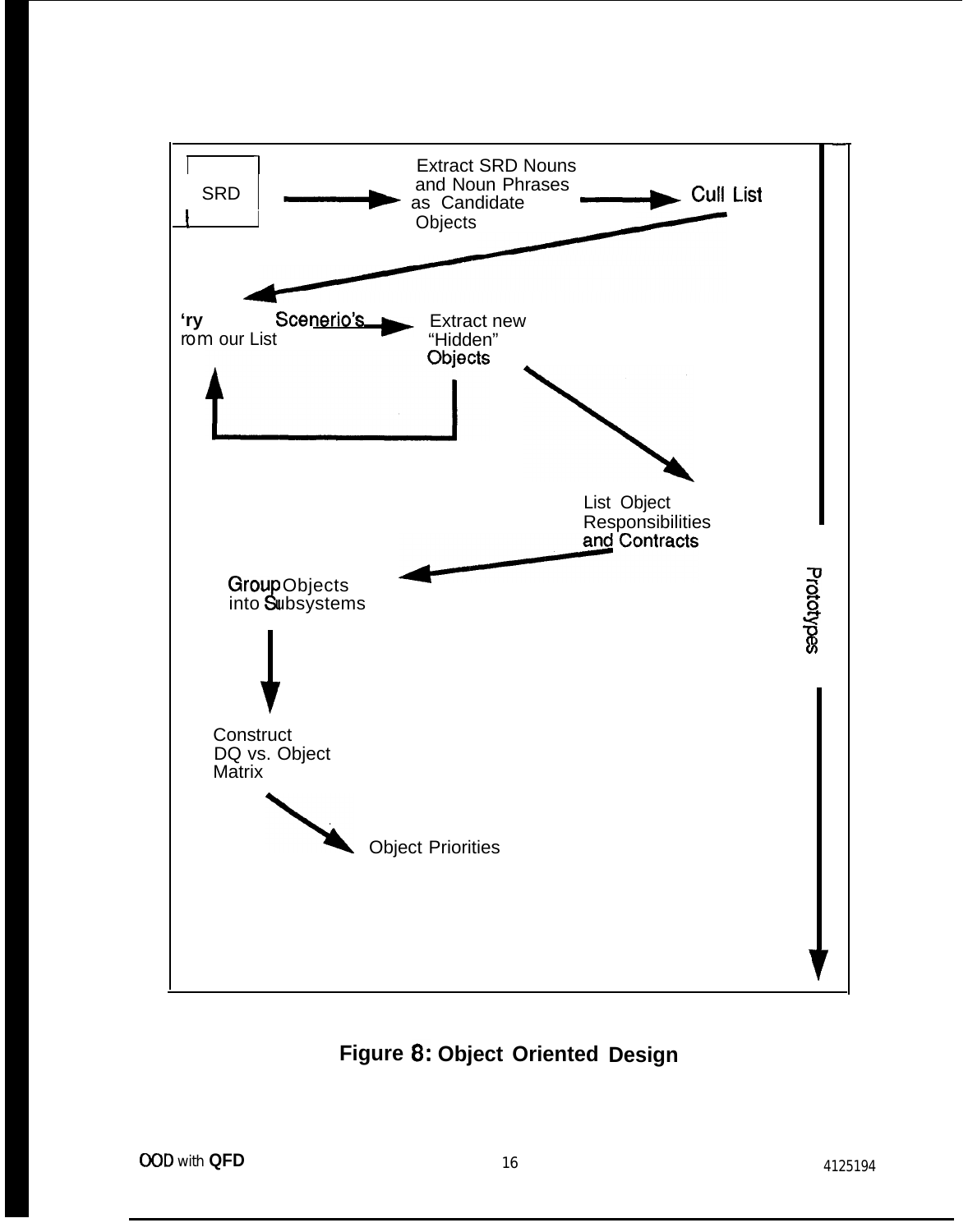

Figure 8: Object Oriented Design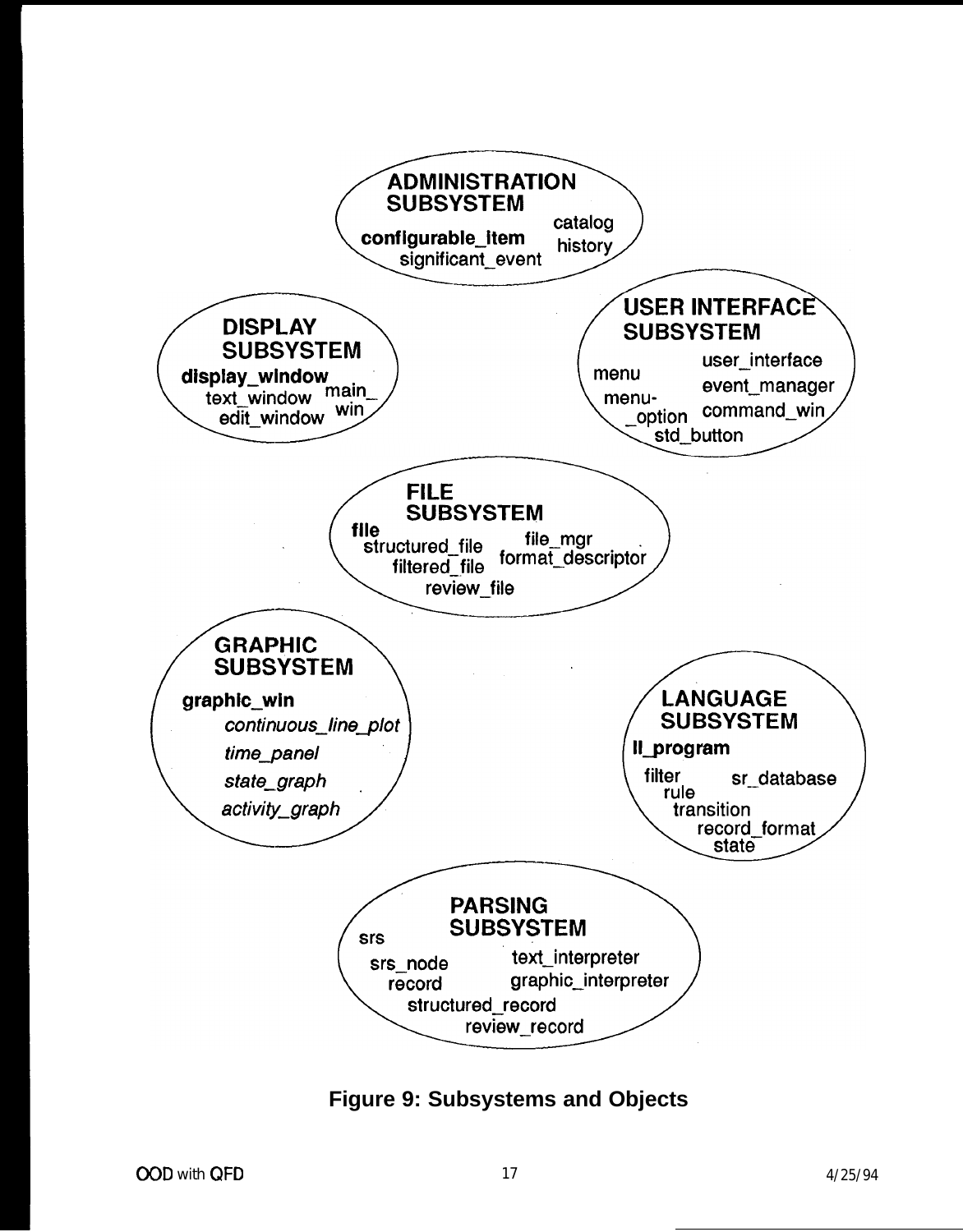

**Figure 9: Subsystems and Objects**